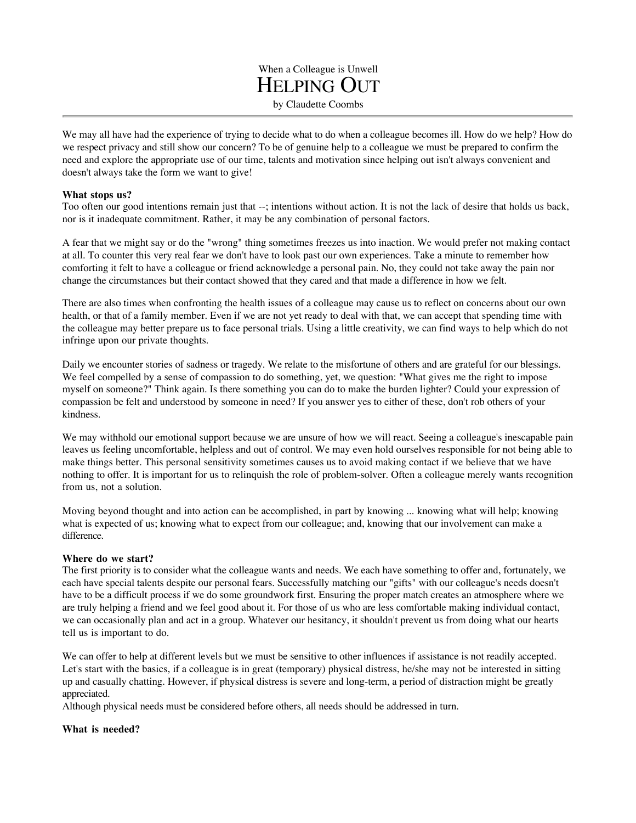When a Colleague is Unwell HELPING OUT by Claudette Coombs

We may all have had the experience of trying to decide what to do when a colleague becomes ill. How do we help? How do we respect privacy and still show our concern? To be of genuine help to a colleague we must be prepared to confirm the need and explore the appropriate use of our time, talents and motivation since helping out isn't always convenient and doesn't always take the form we want to give!

## **What stops us?**

Too often our good intentions remain just that --; intentions without action. It is not the lack of desire that holds us back, nor is it inadequate commitment. Rather, it may be any combination of personal factors.

A fear that we might say or do the "wrong" thing sometimes freezes us into inaction. We would prefer not making contact at all. To counter this very real fear we don't have to look past our own experiences. Take a minute to remember how comforting it felt to have a colleague or friend acknowledge a personal pain. No, they could not take away the pain nor change the circumstances but their contact showed that they cared and that made a difference in how we felt.

There are also times when confronting the health issues of a colleague may cause us to reflect on concerns about our own health, or that of a family member. Even if we are not yet ready to deal with that, we can accept that spending time with the colleague may better prepare us to face personal trials. Using a little creativity, we can find ways to help which do not infringe upon our private thoughts.

Daily we encounter stories of sadness or tragedy. We relate to the misfortune of others and are grateful for our blessings. We feel compelled by a sense of compassion to do something, yet, we question: "What gives me the right to impose myself on someone?" Think again. Is there something you can do to make the burden lighter? Could your expression of compassion be felt and understood by someone in need? If you answer yes to either of these, don't rob others of your kindness.

We may withhold our emotional support because we are unsure of how we will react. Seeing a colleague's inescapable pain leaves us feeling uncomfortable, helpless and out of control. We may even hold ourselves responsible for not being able to make things better. This personal sensitivity sometimes causes us to avoid making contact if we believe that we have nothing to offer. It is important for us to relinquish the role of problem-solver. Often a colleague merely wants recognition from us, not a solution.

Moving beyond thought and into action can be accomplished, in part by knowing ... knowing what will help; knowing what is expected of us; knowing what to expect from our colleague; and, knowing that our involvement can make a difference.

## **Where do we start?**

The first priority is to consider what the colleague wants and needs. We each have something to offer and, fortunately, we each have special talents despite our personal fears. Successfully matching our "gifts" with our colleague's needs doesn't have to be a difficult process if we do some groundwork first. Ensuring the proper match creates an atmosphere where we are truly helping a friend and we feel good about it. For those of us who are less comfortable making individual contact, we can occasionally plan and act in a group. Whatever our hesitancy, it shouldn't prevent us from doing what our hearts tell us is important to do.

We can offer to help at different levels but we must be sensitive to other influences if assistance is not readily accepted. Let's start with the basics, if a colleague is in great (temporary) physical distress, he/she may not be interested in sitting up and casually chatting. However, if physical distress is severe and long-term, a period of distraction might be greatly appreciated.

Although physical needs must be considered before others, all needs should be addressed in turn.

## **What is needed?**